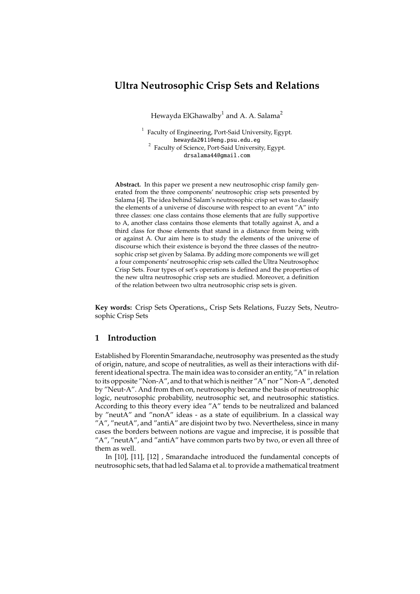Hewayda ElGhawalby $^{\rm 1}$  and A. A. Salama $^{\rm 2}$ 

<sup>1</sup> Faculty of Engineering, Port-Said University, Egypt. hewayda2011@eng.psu.edu.eg <sup>2</sup> Faculty of Science, Port-Said University, Egypt. drsalama44@gmail.com

**Abstract.** In this paper we present a new neutrosophic crisp family generated from the three components' neutrosophic crisp sets presented by Salama [4]. The idea behind Salam's neutrosophic crisp set was to classify the elements of a universe of discourse with respect to an event "A" into three classes: one class contains those elements that are fully supportive to A, another class contains those elements that totally against A, and a third class for those elements that stand in a distance from being with or against A. Our aim here is to study the elements of the universe of discourse which their existence is beyond the three classes of the neutrosophic crisp set given by Salama. By adding more components we will get a four components' neutrosophic crisp sets called the Ultra Neutrosophoc Crisp Sets. Four types of set's operations is defined and the properties of the new ultra neutrosophic crisp sets are studied. Moreover, a definition of the relation between two ultra neutrosophic crisp sets is given.

**Key words:** Crisp Sets Operations,, Crisp Sets Relations, Fuzzy Sets, Neutrosophic Crisp Sets

## **1 Introduction**

Established by Florentin Smarandache, neutrosophy was presented as the study of origin, nature, and scope of neutralities, as well as their interactions with different ideational spectra. The main idea was to consider an entity, "A" in relation to its opposite "Non-A", and to that which is neither "A" nor " Non-A ", denoted by "Neut-A". And from then on, neutrosophy became the basis of neutrosophic logic, neutrosophic probability, neutrosophic set, and neutrosophic statistics. According to this theory every idea "A" tends to be neutralized and balanced by "neutA" and "nonA" ideas - as a state of equilibrium. In a classical way  $''A''$ , "neutA", and "antiA" are disjoint two by two. Nevertheless, since in many cases the borders between notions are vague and imprecise, it is possible that "A", "neutA", and "antiA" have common parts two by two, or even all three of them as well.

In [10], [11], [12] , Smarandache introduced the fundamental concepts of neutrosophic sets, that had led Salama et al. to provide a mathematical treatment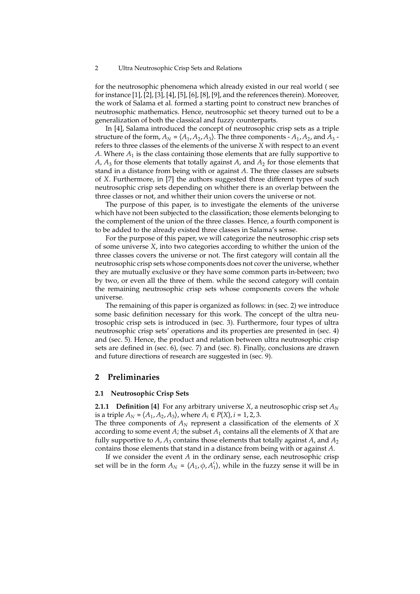for the neutrosophic phenomena which already existed in our real world ( see for instance [1], [2], [3], [4], [5], [6], [8], [9], and the references therein). Moreover, the work of Salama et al. formed a starting point to construct new branches of neutrosophic mathematics. Hence, neutrosophic set theory turned out to be a generalization of both the classical and fuzzy counterparts.

In [4], Salama introduced the concept of neutrosophic crisp sets as a triple structure of the form,  $A_N = \langle A_1, A_2, A_3 \rangle$ . The three components -  $A_1, A_2$ , and  $A_3$  refers to three classes of the elements of the universe *X* with respect to an event  $A$ . Where  $A_1$  is the class containing those elements that are fully supportive to *A*, *A*<sup>3</sup> for those elements that totally against *A*, and *A*<sup>2</sup> for those elements that stand in a distance from being with or against *A*. The three classes are subsets of *X*. Furthermore, in [7] the authors suggested three different types of such neutrosophic crisp sets depending on whither there is an overlap between the three classes or not, and whither their union covers the universe or not.

The purpose of this paper, is to investigate the elements of the universe which have not been subjected to the classification; those elements belonging to the complement of the union of the three classes. Hence, a fourth component is to be added to the already existed three classes in Salama's sense.

For the purpose of this paper, we will categorize the neutrosophic crisp sets of some universe *X*, into two categories according to whither the union of the three classes covers the universe or not. The first category will contain all the neutrosophic crisp sets whose components does not cover the universe, whether they are mutually exclusive or they have some common parts in-between; two by two, or even all the three of them. while the second category will contain the remaining neutrosophic crisp sets whose components covers the whole universe.

The remaining of this paper is organized as follows: in (sec. 2) we introduce some basic definition necessary for this work. The concept of the ultra neutrosophic crisp sets is introduced in (sec. 3). Furthermore, four types of ultra neutrosophic crisp sets' operations and its properties are presented in (sec. 4) and (sec. 5). Hence, the product and relation between ultra neutrosophic crisp sets are defined in (sec. 6), (sec. 7) and (sec. 8). Finally, conclusions are drawn and future directions of research are suggested in (sec. 9).

## **2 Preliminaries**

#### **2.1 Neutrosophic Crisp Sets**

**2.1.1 Definition [4]** For any arbitrary universe *X*, a neutrosophic crisp set  $A_N$ is a triple  $A_N = \langle A_1, A_2, A_3 \rangle$ , where  $A_i \in P(X)$ ,  $i = 1, 2, 3$ .

The three components of  $A_N$  represent a classification of the elements of  $X$ according to some event  $A$ ; the subset  $A_1$  contains all the elements of  $X$  that are fully supportive to  $A$ ,  $A_3$  contains those elements that totally against  $A$ , and  $A_2$ contains those elements that stand in a distance from being with or against *A*.

If we consider the event *A* in the ordinary sense, each neutrosophic crisp set will be in the form  $A_N = \langle A_1, \phi, A_1^c \rangle$ , while in the fuzzy sense it will be in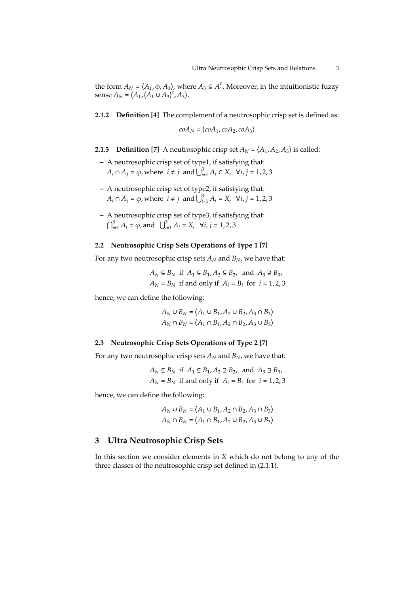the form  $A_N = \langle A_1, \phi, A_3 \rangle$ , where  $A_3 \subseteq A_1^c$ . Moreover, in the intuitionistic fuzzy sense  $A_N = (A_1, (A_1 \cup A_3)^c, A_3)$ .

## **2.1.2 Definition [4]** The complement of a neutrosophic crisp set is defined as:

 $coA_N = \langle coA_1, coA_2, coA_3 \rangle$ 

**2.1.3 Definition [7]** A neutrosophic crisp set 
$$
A_N = \langle A_1, A_2, A_3 \rangle
$$
 is called:

- **–** A neutrosophic crisp set of type1, if satisfying that:  $A_i \cap A_j = \phi$ , where  $i \neq j$  and  $\bigcup_{i=1}^3 A_i \subset X$ ,  $\forall i, j = 1, 2, 3$
- **–** A neutrosophic crisp set of type2, if satisfying that: *A*<sup>*i*</sup> ∩ *A*<sup>*j*</sup> =  $\phi$ , where  $i \neq j$  and  $\bigcup_{i=1}^{3} A_i = X$ ,  $\forall i, j = 1, 2, 3$
- **–** A neutrosophic crisp set of type3, if satisfying that:  $\bigcap_{i=1}^{3} A_i = \emptyset$ , and  $\bigcup_{i=1}^{3} A_i = X$ ,  $\forall i, j = 1, 2, 3$

## **2.2 Neutrosophic Crisp Sets Operations of Type 1 [7]**

For any two neutrosophic crisp sets  $A_N$  and  $B_N$ , we have that:

 $A_N$  ⊆  $B_N$  if  $A_1$  ⊆  $B_1$ ,  $A_2$  ⊆  $B_2$ , and  $A_3$  ⊇  $B_3$ ,  $A_N = B_N$  if and only if  $A_i = B_i$  for  $i = 1, 2, 3$ 

hence, we can define the following:

 $A_N$  ∪  $B_N = \langle A_1 \cup B_1, A_2 \cup B_2, A_3 \cap B_3 \rangle$  $A_N \cap B_N = \langle A_1 \cap B_1, A_2 \cap B_2, A_3 \cup B_3 \rangle$ 

## **2.3 Neutrosophic Crisp Sets Operations of Type 2 [7]**

For any two neutrosophic crisp sets  $A_N$  and  $B_N$ , we have that:

$$
A_N \subseteq B_N
$$
 if  $A_1 \subseteq B_1, A_2 \supseteq B_2$ , and  $A_3 \supseteq B_3$ ,  
 $A_N = B_N$  if and only if  $A_i = B_i$  for  $i = 1, 2, 3$ 

hence, we can define the following:

$$
A_N \cup B_N = \langle A_1 \cup B_1, A_2 \cap B_2, A_3 \cap B_3 \rangle
$$
  

$$
A_N \cap B_N = \langle A_1 \cap B_1, A_2 \cup B_2, A_3 \cup B_3 \rangle
$$

# **3 Ultra Neutrosophic Crisp Sets**

In this section we consider elements in *X* which do not belong to any of the three classes of the neutrosophic crisp set defined in (2.1.1).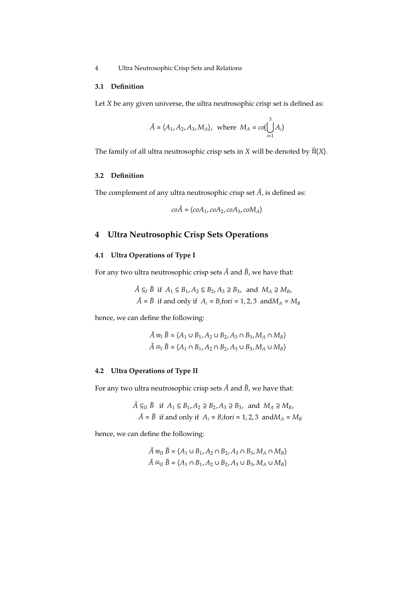### **3.1 Definition**

Let *X* be any given universe, the ultra neutrosophic crisp set is defined as:

$$
\breve{A} = \langle A_1, A_2, A_3, M_A \rangle
$$
, where  $M_A = \text{co}(\bigcup_{i=1}^3 A_i)$ 

The family of all ultra neutrosophic crisp sets in  $X$  will be denoted by  $\check{U}(X)$ .

# **3.2 Definition**

The complement of any ultra neutrosophic crisp set  $\check{A}$ , is defined as:

$$
co\check{A} = \langle coA_1, coA_2, coA_3, coM_A \rangle
$$

# **4 Ultra Neutrosophic Crisp Sets Operations**

# **4.1 Ultra Operations of Type I**

For any two ultra neutrosophic crisp sets  $\check{A}$  and  $\check{B}$ , we have that:

$$
\tilde{A} \subseteq_I \tilde{B} \text{ if } A_1 \subseteq B_1, A_2 \subseteq B_2, A_3 \supseteq B_3, \text{ and } M_A \supseteq M_B,
$$
  

$$
\tilde{A} = \tilde{B} \text{ if and only if } A_i = B_i \text{ for } i = 1, 2, 3 \text{ and } M_A = M_B
$$

hence, we can define the following:

$$
\check{A} \cup_I \check{B} = \langle A_1 \cup B_1, A_2 \cup B_2, A_3 \cap B_3, M_A \cap M_B \rangle
$$
  

$$
\check{A} \cap I \check{B} = \langle A_1 \cap B_1, A_2 \cap B_2, A_3 \cup B_3, M_A \cup M_B \rangle
$$

# **4.2 Ultra Operations of Type II**

For any two ultra neutrosophic crisp sets  $\breve{A}$  and  $\breve{B}$  , we have that:

$$
\tilde{A} \subseteq_{II} \tilde{B} \text{ if } A_1 \subseteq B_1, A_2 \supseteq B_2, A_3 \supseteq B_3, \text{ and } M_A \supseteq M_B,
$$
  

$$
\tilde{A} = \tilde{B} \text{ if and only if } A_i = B_i \text{ for } i = 1, 2, 3 \text{ and } M_A = M_B
$$

hence, we can define the following:

$$
\check{A} \cup_{II} \check{B} = \langle A_1 \cup B_1, A_2 \cap B_2, A_3 \cap B_3, M_A \cap M_B \rangle
$$
  

$$
\check{A} \cap_{II} \check{B} = \langle A_1 \cap B_1, A_2 \cup B_2, A_3 \cup B_3, M_A \cup M_B \rangle
$$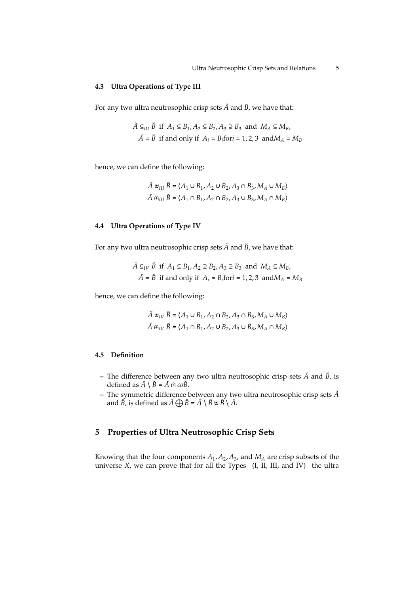#### **4.3 Ultra Operations of Type III**

For any two ultra neutrosophic crisp sets  $\check{A}$  and  $\check{B}$ , we have that:

$$
\tilde{A} \subseteq_{III} \tilde{B} \text{ if } A_1 \subseteq B_1, A_2 \subseteq B_2, A_3 \supseteq B_3 \text{ and } M_A \subseteq M_B,
$$
  

$$
\tilde{A} = \tilde{B} \text{ if and only if } A_i = B_i \text{ for } i = 1, 2, 3 \text{ and } M_A = M_B
$$

hence, we can define the following:

$$
\check{A} \cup_{III} \check{B} = \langle A_1 \cup B_1, A_2 \cup B_2, A_3 \cap B_3, M_A \cup M_B \rangle
$$
  

$$
\check{A} \cap_{III} \check{B} = \langle A_1 \cap B_1, A_2 \cap B_2, A_3 \cup B_3, M_A \cap M_B \rangle
$$

## **4.4 Ultra Operations of Type IV**

For any two ultra neutrosophic crisp sets  $\check{A}$  and  $\check{B}$ , we have that:

$$
\tilde{A} \subseteq_{IV} \tilde{B} \text{ if } A_1 \subseteq B_1, A_2 \supseteq B_2, A_3 \supseteq B_3 \text{ and } M_A \subseteq M_B,
$$
  

$$
\tilde{A} = \tilde{B} \text{ if and only if } A_i = B_i \text{ for } i = 1, 2, 3 \text{ and } M_A = M_B
$$

hence, we can define the following:

$$
\check{A} \cup_{IV} \check{B} = \langle A_1 \cup B_1, A_2 \cap B_2, A_3 \cap B_3, M_A \cup M_B \rangle
$$
  

$$
\check{A} \cap_{IV} \check{B} = \langle A_1 \cap B_1, A_2 \cup B_2, A_3 \cup B_3, M_A \cap M_B \rangle
$$

## **4.5 Definition**

- **–** The difference between any two ultra neutrosophic crisp sets *A*˘ and *B*˘, is defined as  $\check{A} \setminus \check{B} = \check{A} \oplus \mathfrak{co} \check{B}$ .
- **–** The symmetric difference between any two ultra neutrosophic crisp sets *A*˘ and  $\check{B}$ , is defined as  $\check{A} \bigoplus \check{B} = \check{A} \setminus \check{B} \cup \check{B} \setminus \check{A}$ .

# **5 Properties of Ultra Neutrosophic Crisp Sets**

Knowing that the four components *A*<sup>1</sup> , *A*<sup>2</sup> , *A*<sup>3</sup> , and *M<sup>A</sup>* are crisp subsets of the universe *X*, we can prove that for all the Types (I, II, III, and IV) the ultra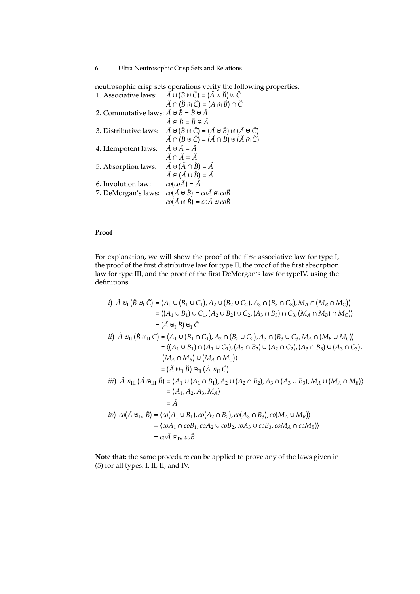neutrosophic crisp sets operations verify the following properties:

| 1. Associative laws:                                                       | $\check{A} \uplus (\check{B} \uplus \check{C}) = (\check{A} \uplus \check{B}) \uplus \check{C}$                |
|----------------------------------------------------------------------------|----------------------------------------------------------------------------------------------------------------|
|                                                                            | $\check{A} \oplus (\check{B} \oplus \check{C}) = (\check{A} \oplus \check{B}) \oplus \check{C}$                |
| 2. Commutative laws: $\breve{A} \cup \breve{B} = \breve{B} \cup \breve{A}$ |                                                                                                                |
|                                                                            | $\check{A} \oplus \check{B} = \check{B} \oplus \check{A}$                                                      |
| 3. Distributive laws:                                                      | $\check{A} \cup (\check{B} \cap \check{C}) = (\check{A} \cup \check{B}) \cap (\check{A} \cup \check{C})$       |
|                                                                            | $\check{A} \oplus (\check{B} \cup \check{C}) = (\check{A} \oplus \check{B}) \cup (\check{A} \oplus \check{C})$ |
| 4. Idempotent laws:                                                        | $\breve{A}$ $\uplus \breve{A} = \breve{A}$                                                                     |
|                                                                            | $\check{A} \oplus \check{A} = \check{A}$                                                                       |
| 5. Absorption laws:                                                        | $\check{A} \cup (\check{A} \cap \check{B}) = \check{A}$                                                        |
|                                                                            | $\check{A} \oplus (\check{A} \cup \check{B}) = \check{A}$                                                      |
| 6. Involution law:                                                         | $co(co\breve{A}) = \breve{A}$                                                                                  |
| 7. DeMorgan's laws:                                                        | $co(\check{A} \cup \check{B}) = co\check{A} \oplus co\check{B}$                                                |
|                                                                            | $co(\breve{A} \oplus \breve{B}) = co\breve{A} \oplus co\breve{B}$                                              |
|                                                                            |                                                                                                                |

## **Proof**

For explanation, we will show the proof of the first associative law for type I, the proof of the first distributive law for type II, the proof of the first absorption law for type III, and the proof of the first DeMorgan's law for typeIV. using the definitions

i) 
$$
\tilde{A} \cup_{I} (\tilde{B} \cup_{I} \tilde{C}) = \langle A_{1} \cup (B_{1} \cup C_{1}), A_{2} \cup (B_{2} \cup C_{2}), A_{3} \cap (B_{3} \cap C_{3}), M_{A} \cap (M_{B} \cap M_{C}) \rangle
$$
  
\t $= \langle (A_{1} \cup B_{1}) \cup C_{1}, (A_{2} \cup B_{2}) \cup C_{2}, (A_{3} \cap B_{3}) \cap C_{3}, (M_{A} \cap M_{B}) \cap M_{C} \rangle$   
\t $= (\tilde{A} \cup_{I} \tilde{B}) \cup_{I} \tilde{C}$   
ii)  $\tilde{A} \cup_{II} (\tilde{B} \cap_{II} \tilde{C}) = \langle A_{1} \cup (B_{1} \cap C_{1}), A_{2} \cap (B_{2} \cup C_{2}), A_{3} \cap (B_{3} \cup C_{3}, M_{A} \cap (M_{B} \cup M_{C}) \rangle$   
\t $= \langle (A_{1} \cup B_{1}) \cap (A_{1} \cup C_{1}), (A_{2} \cap B_{2}) \cup (A_{2} \cap C_{2}), (A_{3} \cap B_{3}) \cup (A_{3} \cap C_{3}),$   
\t $= (M_{A} \cap M_{B}) \cup (M_{A} \cap M_{C}) \rangle$   
\t $= (\tilde{A} \cup_{II} \tilde{B}) \cap_{II} (\tilde{A} \cup_{II} \tilde{C})$   
iii)  $\tilde{A} \cup_{III} (\tilde{A} \cap_{III} \tilde{B}) = \langle A_{1} \cup (A_{1} \cap B_{1}), A_{2} \cup (A_{2} \cap B_{2}), A_{3} \cap (A_{3} \cup B_{3}), M_{A} \cup (M_{A} \cap M_{B}) \rangle$   
\t $= \langle A_{1}, A_{2}, A_{3}, M_{A} \rangle$   
\t $= \tilde{A}$   
iv)  $co(\tilde{A} \cup_{IV} \tilde{B}) = (co(A_{1} \cup B_{1}), co(A_{2} \cap B_{2}), co(A_{3} \cap B_{3}), co(M_{A} \cup M_{B}) \rangle$   
\t $= (coA_{1} \cap coB_{1}, coA_{2} \cup coB_{2}, coA_{3$ 

**Note that:** the same procedure can be applied to prove any of the laws given in (5) for all types: I, II, II, and IV.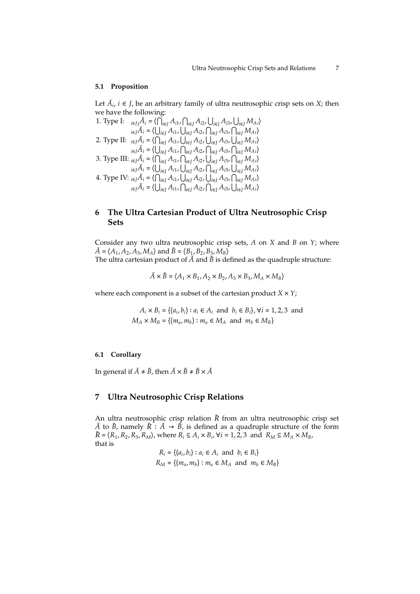#### **5.1 Proposition**

Let  $\check{A}_i$ ,  $i \in J$ , be an arbitrary family of ultra neutrosophic crisp sets on *X*; then we have the following:

1. Type I: 
$$
\begin{array}{ll} \ _{i\in J}\tilde{A}_{i}=\langle\bigcap_{i\in J}A_{i1},\bigcap_{i\in J}A_{i2},\bigcup_{i\in J}A_{i3},\bigcup_{i\in J}M_{Ai}\rangle\\ \ _{i\in J}\tilde{A}_{i}=\langle\bigcup_{i\in J}A_{i1},\bigcup_{i\in J}A_{i2},\bigcap_{i\in J}A_{i3},\bigcap_{i\in J}M_{Ai}\rangle\\ \ 2. Type II: \ _{i\in J}\tilde{A}_{i}=\langle\bigcap_{i\in J}A_{i1},\bigcup_{i\in J}A_{i2},\bigcup_{i\in J}A_{i3},\bigcup_{i\in J}M_{Ai}\rangle\\ \ _{i\in J}\tilde{A}_{i}=\langle\bigcup_{i\in J}A_{i1},\bigcap_{i\in J}A_{i2},\bigcap_{i\in J}A_{i3},\bigcap_{i\in J}M_{Ai}\rangle\\ \ 3. Type III: \ _{i\in J}\tilde{A}_{i}=\langle\bigcap_{i\in J}A_{i1},\bigcap_{i\in J}A_{i2},\bigcup_{i\in J}A_{i3},\bigcap_{i\in J}M_{Ai}\rangle\\ \ _{i\in J}\tilde{A}_{i}=\langle\bigcup_{i\in J}A_{i1},\bigcup_{i\in J}A_{i2},\bigcup_{i\in J}A_{i3},\bigcap_{i\in J}M_{Ai}\rangle\\ \ 4. Type IV: \ _{i\in J}\tilde{A}_{i}=\langle\bigcap_{i\in J}A_{i1},\bigcup_{i\in J}A_{i2},\bigcup_{i\in J}A_{i3},\bigcap_{i\in J}M_{Ai}\rangle\\ \ _{i\in J}\tilde{A}_{i}=\langle\bigcup_{i\in J}A_{i1},\bigcap_{i\in J}A_{i2},\bigcap_{i\in J}A_{i3},\bigcup_{i\in J}M_{Ai}\rangle\\ \end{array}
$$

# **6 The Ultra Cartesian Product of Ultra Neutrosophic Crisp Sets**

Consider any two ultra neutrosophic crisp sets, *A* on *X* and *B* on *Y*; where  $\check{A} = \langle A_1, A_2, A_3, M_A \rangle$  and  $\check{B} = \langle B_1, B_2, B_3, M_B \rangle$ The ultra cartesian product of  $\check{A}$  and  $\check{B}$  is defined as the quadruple structure:

$$
\breve{A} \times \breve{B} = \langle A_1 \times B_1, A_2 \times B_2, A_3 \times B_3, M_A \times M_B \rangle
$$

where each component is a subset of the cartesian product  $X \times Y$ ;

 $A_i \times B_i = \{(a_i, b_i) : a_i \in A_i \text{ and } b_i \in B_i\}, \forall i = 1, 2, 3 \text{ and }$  $M_A \times M_B = \{(m_a, m_b) : m_a \in M_A \text{ and } m_b \in M_B\}$ 

#### **6.1 Corollary**

In general if  $\check{A} \neq \check{B}$ , then  $\check{A} \times \check{B} \neq \check{B} \times \check{A}$ 

# **7 Ultra Neutrosophic Crisp Relations**

An ultra neutrosophic crisp relation  $\breve{R}$  from an ultra neutrosophic crisp set *A*<sup> $\check{A}$ </sup> to  $\check{B}$ , namely  $\check{R}$  :  $\check{A}$   $\rightarrow$   $\check{B}$ , is defined as a quadruple structure of the form  $\breve{R} = \langle R_1, R_2, R_3, R_M \rangle$ , where  $R_i \subseteq A_i \times B_i$ ,  $\forall i = 1, 2, 3$  and  $R_M \subseteq M_A \times M_B$ , that is

> $R_i = \{(a_i, b_i) : a_i \in A_i \text{ and } b_i \in B_i\}$  $R_M = \{(m_a, m_b) : m_a \in M_A \text{ and } m_b \in M_B\}$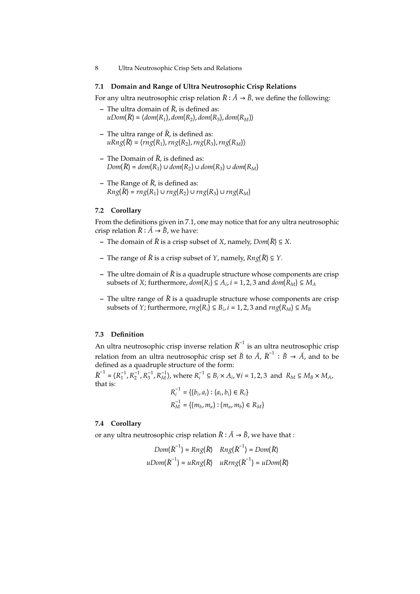#### **7.1 Domain and Range of Ultra Neutrosophic Crisp Relations**

For any ultra neutrosophic crisp relation  $\breve{R} : \breve{A} \to \breve{B}$ , we define the following:

- **–** The ultra domain of  $\check{R}$ , is defined as: *uDom*(<sup>R</sup>˘ ) <sup>=</sup> ⟨*dom*(*R*<sup>1</sup> ), *dom*(*R*<sup>2</sup> ), *dom*(*R*<sup>3</sup> ), *dom*(*RM*)⟩
- **–** The ultra range of  $\check{R}$ , is defined as: *uRng*(<sup>R</sup>˘ ) <sup>=</sup> ⟨*rng*(*R*<sup>1</sup> ),*rng*(*R*<sup>2</sup> ),*rng*(*R*<sup>3</sup> ),*rng*(*RM*)⟩
- $-$  The Domain of  $\check{R}$ , is defined as:  $Dom(\overline{R}) = dom(R_1) \cup dom(R_2) \cup dom(R_3) \cup dom(R_M)$
- $-$  The Range of  $\check{R}$ , is defined as:  $Rng(\breve{R}) = rng(R_1) \cup rng(R_2) \cup rng(R_3) \cup rng(R_M)$

#### **7.2 Corollary**

From the definitions given in 7.1, one may notice that for any ultra neutrosophic crisp relation  $\breve{R}$  :  $\breve{A} \rightarrow \breve{B}$ , we have:

- **−** The domain of  $\check{R}$  is a crisp subset of *X*, namely,  $Dom(\check{R}) \subseteq X$ .
- **−** The range of  $\check{R}$  is a crisp subset of *Y*, namely,  $Rng(\check{R}) \subseteq Y$ .
- The ultre domain of  $\check{R}$  is a quadruple structure whose components are crisp subsets of *X*; furthermore,  $dom(R_i) \subseteq A_i$ ,  $i = 1, 2, 3$  and  $dom(R_M) \subseteq M_A$
- **–** The ultre range of  $\check{R}$  is a quadruple structure whose components are crisp subsets of *Y*; furthermore,  $rng(R_i) \subseteq B_i$ ,  $i = 1, 2, 3$  and  $rng(R_M) \subseteq M_B$

### **7.3 Definition**

An ultra neutrosophic crisp inverse relation  $\breve{\bm{R}}^{-1}$  is an ultra neutrosophic crisp relation from an ultra neutrosophic crisp set  $\breve{B}$  to  $\breve{A}$ ,  $\breve{R}^{-1}$  :  $\breve{B} \rightarrow \breve{A}$ , and to be defined as a quadruple structure of the form:

 $\tilde{R}^{-1} = \langle R_1^{-1}, R_2^{-1}, R_3^{-1}, R_M^{-1} \rangle$ , where  $R_i^{-1} \subseteq B_i \times A_i$ ,  $\forall i = 1, 2, 3$  and  $R_M \subseteq M_B \times M_A$ , that is:

$$
R_i^{-1} = \{(b_i, a_i) : (a_i, b_i) \in R_i\}
$$
  

$$
R_M^{-1} = \{(m_b, m_a) : (m_a, m_b) \in R_M\}
$$

## **7.4 Corollary**

or any ultra neutrosophic crisp relation  $\breve{R} : \breve{A} \to \breve{B}$ , we have that :

$$
Dom(\check{R}^{-1}) = Rng(\check{R}) \quad Rng(\check{R}^{-1}) = Dom(\check{R})
$$
  

$$
uDom(\check{R}^{-1}) = uRng(\check{R}) \quad uRrng(\check{R}^{-1}) = uDom(\check{R})
$$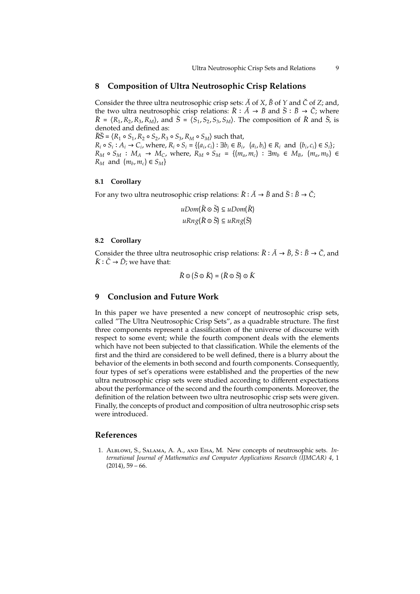## **8 Composition of Ultra Neutrosophic Crisp Relations**

Consider the three ultra neutrosophic crisp sets:  $\check{A}$  of  $X$ ,  $\check{B}$  of  $Y$  and  $\check{C}$  of  $Z$ ; and, the two ultra neutrosophic crisp relations:  $\breve{R}$  ∶  $\breve{A}$  →  $\breve{B}$  and  $\breve{S}$  ∶  $\breve{B}$  →  $\breve{C}$ ; where  $\check{R} = \langle R_1, R_2, R_3, R_M \rangle$ , and  $\check{S} = \langle \bar{S}_1, S_2, S_3, S_M \rangle$ . The composition of  $\check{R}$  and  $\check{S}$ , is denoted and defined as:

 $\breve{R}\breve{S} = \langle R_1 \circ S_1, R_2 \circ S_2, R_3 \circ S_3, R_M \circ S_M \rangle$  such that,

 $R_i \circ S_i : A_i \to C_i$ , where,  $R_i \circ S_i = \{(a_i, c_i) : \exists b_i \in B_i, (a_i, b_i) \in R_i \text{ and } (b_i, c_i) \in S_i\}$  $R_M \circ S_M : M_A \to M_C$ , where,  $R_M \circ S_M = \{(m_a, m_c) : \exists m_b \in M_B, (m_a, m_b) \in M_B\}$  $R_M$  and  $(m_b, m_c) \in S_M$ 

### **8.1 Corollary**

For any two ultra neutrosophic crisp relations:  $\breve{R} : \breve{A} \to \breve{B}$  and  $\breve{S} : \breve{B} \to \breve{C}$ ;

$$
uDom(\breve{R} \circ \breve{S}) \subseteq uDom(\breve{R})
$$
  

$$
uRng(\breve{R} \circ \breve{S}) \subseteq uRng(\breve{S})
$$

#### **8.2 Corollary**

Consider the three ultra neutrosophic crisp relations:  $\breve{R}$  :  $\breve{A}$  →  $\breve{B}$ ,  $\breve{S}$  :  $\breve{B}$  →  $\breve{C}$ , and  $\check{K}$  :  $\check{C}$   $\rightarrow$   $\check{D}$ ; we have that:

$$
\check{R}\odot(\check{S}\odot\check{K})=(\check{R}\odot\check{S})\odot\check{K}
$$

## **9 Conclusion and Future Work**

In this paper we have presented a new concept of neutrosophic crisp sets, called "The Ultra Neutrosophic Crisp Sets", as a quadrable structure. The first three components represent a classification of the universe of discourse with respect to some event; while the fourth component deals with the elements which have not been subjected to that classification. While the elements of the first and the third are considered to be well defined, there is a blurry about the behavior of the elements in both second and fourth components. Consequently, four types of set's operations were established and the properties of the new ultra neutrosophic crisp sets were studied according to different expectations about the performance of the second and the fourth components. Moreover, the definition of the relation between two ultra neutrosophic crisp sets were given. Finally, the concepts of product and composition of ultra neutrosophic crisp sets were introduced.

## **References**

1. Alblowi, S., Salama, A. A., and Eisa, M. New concepts of neutrosophic sets. *International Journal of Mathematics and Computer Applications Research (IJMCAR) 4*, 1  $(2014)$ , 59 – 66.